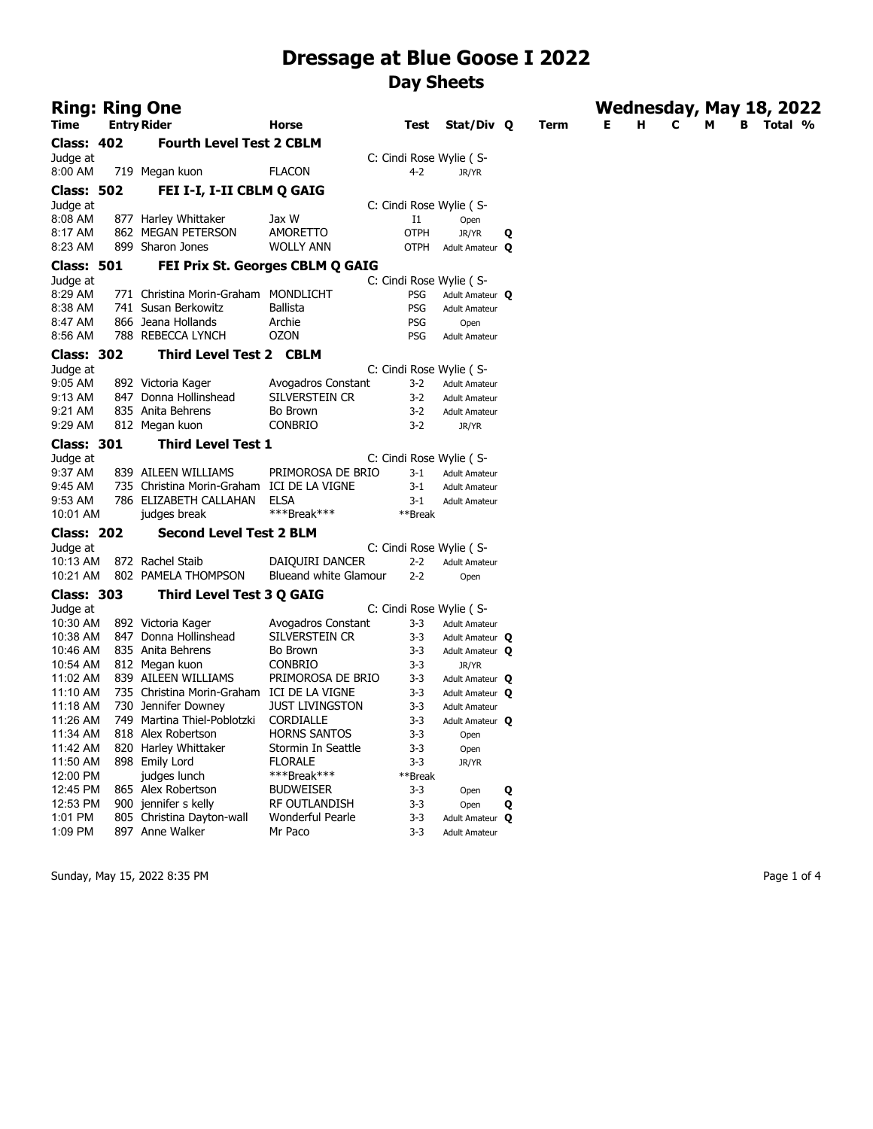| <b>Ring: Ring One</b> |                                            |                                   |                    |                          |   |             |   |   | Wednesday, May 18, 2022 |   |   |         |  |
|-----------------------|--------------------------------------------|-----------------------------------|--------------------|--------------------------|---|-------------|---|---|-------------------------|---|---|---------|--|
| Time                  | <b>Entry Rider</b>                         | Horse                             | Test               | Stat/Div Q               |   | <b>Term</b> | Е | н | с                       | м | в | Total % |  |
| Class: 402            | <b>Fourth Level Test 2 CBLM</b>            |                                   |                    |                          |   |             |   |   |                         |   |   |         |  |
| Judge at              |                                            |                                   |                    | C: Cindi Rose Wylie (S-  |   |             |   |   |                         |   |   |         |  |
| 8:00 AM               | 719 Megan kuon                             | <b>FLACON</b>                     | $4 - 2$            | JR/YR                    |   |             |   |   |                         |   |   |         |  |
| <b>Class: 502</b>     | FEI I-I, I-II CBLM Q GAIG                  |                                   |                    |                          |   |             |   |   |                         |   |   |         |  |
| Judge at              |                                            |                                   |                    | C: Cindi Rose Wylie (S-  |   |             |   |   |                         |   |   |         |  |
| 8:08 AM               | 877 Harley Whittaker                       | Jax W                             | 11                 | Open                     |   |             |   |   |                         |   |   |         |  |
| 8:17 AM               | 862 MEGAN PETERSON                         | <b>AMORETTO</b>                   | <b>OTPH</b>        | JR/YR                    | Q |             |   |   |                         |   |   |         |  |
| 8:23 AM               | 899 Sharon Jones                           | <b>WOLLY ANN</b>                  | <b>OTPH</b>        | Adult Amateur Q          |   |             |   |   |                         |   |   |         |  |
| Class: 501            |                                            | FEI Prix St. Georges CBLM Q GAIG  |                    |                          |   |             |   |   |                         |   |   |         |  |
| Judge at              |                                            |                                   |                    | C: Cindi Rose Wylie ( S- |   |             |   |   |                         |   |   |         |  |
| 8:29 AM               | 771 Christina Morin-Graham MONDLICHT       |                                   | PSG                | Adult Amateur Q          |   |             |   |   |                         |   |   |         |  |
| 8:38 AM               | 741 Susan Berkowitz                        | <b>Ballista</b>                   | <b>PSG</b>         | <b>Adult Amateur</b>     |   |             |   |   |                         |   |   |         |  |
| 8:47 AM               | 866 Jeana Hollands                         | Archie                            | PSG                | Open                     |   |             |   |   |                         |   |   |         |  |
| 8:56 AM               | 788 REBECCA LYNCH                          | <b>OZON</b>                       | <b>PSG</b>         | <b>Adult Amateur</b>     |   |             |   |   |                         |   |   |         |  |
| <b>Class: 302</b>     | <b>Third Level Test 2 CBLM</b>             |                                   |                    |                          |   |             |   |   |                         |   |   |         |  |
| Judge at              |                                            |                                   |                    | C: Cindi Rose Wylie (S-  |   |             |   |   |                         |   |   |         |  |
| 9:05 AM               | 892 Victoria Kager                         | Avogadros Constant                | $3-2$              | <b>Adult Amateur</b>     |   |             |   |   |                         |   |   |         |  |
| 9:13 AM               | 847 Donna Hollinshead                      | SILVERSTEIN CR                    | $3-2$              | <b>Adult Amateur</b>     |   |             |   |   |                         |   |   |         |  |
| 9:21 AM               | 835 Anita Behrens                          | Bo Brown                          | $3 - 2$            | <b>Adult Amateur</b>     |   |             |   |   |                         |   |   |         |  |
| 9:29 AM               | 812 Megan kuon                             | <b>CONBRIO</b>                    | $3 - 2$            | JR/YR                    |   |             |   |   |                         |   |   |         |  |
| Class: 301            | <b>Third Level Test 1</b>                  |                                   |                    |                          |   |             |   |   |                         |   |   |         |  |
| Judge at              |                                            |                                   |                    | C: Cindi Rose Wylie (S-  |   |             |   |   |                         |   |   |         |  |
| 9:37 AM               | 839 AILEEN WILLIAMS                        | PRIMOROSA DE BRIO                 | $3 - 1$            | <b>Adult Amateur</b>     |   |             |   |   |                         |   |   |         |  |
| 9:45 AM               | 735 Christina Morin-Graham ICI DE LA VIGNE |                                   | $3 - 1$            | <b>Adult Amateur</b>     |   |             |   |   |                         |   |   |         |  |
| 9:53 AM               | 786 ELIZABETH CALLAHAN                     | <b>ELSA</b>                       | $3-1$              | <b>Adult Amateur</b>     |   |             |   |   |                         |   |   |         |  |
| 10:01 AM              | judges break                               | ***Break***                       | **Break            |                          |   |             |   |   |                         |   |   |         |  |
| <b>Class: 202</b>     | <b>Second Level Test 2 BLM</b>             |                                   |                    |                          |   |             |   |   |                         |   |   |         |  |
| Judge at              |                                            |                                   |                    | C: Cindi Rose Wylie (S-  |   |             |   |   |                         |   |   |         |  |
| 10:13 AM              | 872 Rachel Staib                           | DAIQUIRI DANCER                   | $2 - 2$            | <b>Adult Amateur</b>     |   |             |   |   |                         |   |   |         |  |
| 10:21 AM              | 802 PAMELA THOMPSON                        | Blueand white Glamour             | $2 - 2$            | Open                     |   |             |   |   |                         |   |   |         |  |
| <b>Class: 303</b>     | <b>Third Level Test 3 Q GAIG</b>           |                                   |                    |                          |   |             |   |   |                         |   |   |         |  |
| Judge at              |                                            |                                   |                    | C: Cindi Rose Wylie (S-  |   |             |   |   |                         |   |   |         |  |
| 10:30 AM              | 892 Victoria Kager                         | Avogadros Constant                | $3-3$              | <b>Adult Amateur</b>     |   |             |   |   |                         |   |   |         |  |
| 10:38 AM              | 847 Donna Hollinshead                      | SILVERSTEIN CR                    | $3 - 3$            | Adult Amateur Q          |   |             |   |   |                         |   |   |         |  |
| 10:46 AM              | 835 Anita Behrens                          | Bo Brown                          | $3 - 3$            | Adult Amateur Q          |   |             |   |   |                         |   |   |         |  |
| 10:54 AM              | 812 Megan kuon                             | <b>CONBRIO</b>                    | $3 - 3$            | JR/YR                    |   |             |   |   |                         |   |   |         |  |
| 11:02 AM              | 839 AILEEN WILLIAMS                        | PRIMOROSA DE BRIO                 | $3 - 3$            | Adult Amateur Q          |   |             |   |   |                         |   |   |         |  |
| 11:10 AM              | 735 Christina Morin-Graham ICI DE LA VIGNE |                                   | $3 - 3$            | Adult Amateur Q          |   |             |   |   |                         |   |   |         |  |
| 11:18 AM              | 730 Jennifer Downey                        | <b>JUST LIVINGSTON</b>            | $3 - 3$            | <b>Adult Amateur</b>     |   |             |   |   |                         |   |   |         |  |
| 11:26 AM              | 749 Martina Thiel-Poblotzki                | CORDIALLE                         | $3 - 3$            | Adult Amateur Q          |   |             |   |   |                         |   |   |         |  |
| 11:34 AM              | 818 Alex Robertson                         | <b>HORNS SANTOS</b>               | $3 - 3$            | Open                     |   |             |   |   |                         |   |   |         |  |
| 11:42 AM              | 820 Harley Whittaker                       | Stormin In Seattle                | $3 - 3$            | Open                     |   |             |   |   |                         |   |   |         |  |
| 11:50 AM              | 898 Emily Lord                             | <b>FLORALE</b>                    | $3 - 3$            | JR/YR                    |   |             |   |   |                         |   |   |         |  |
| 12:00 PM              | judges lunch<br>865 Alex Robertson         | ***Break***                       | **Break            |                          |   |             |   |   |                         |   |   |         |  |
| 12:45 PM<br>12:53 PM  | 900 jennifer s kelly                       | <b>BUDWEISER</b><br>RF OUTLANDISH | $3 - 3$<br>$3 - 3$ | Open                     | Q |             |   |   |                         |   |   |         |  |
| 1:01 PM               | 805 Christina Dayton-wall                  | Wonderful Pearle                  | $3 - 3$            | Open<br>Adult Amateur Q  | Q |             |   |   |                         |   |   |         |  |
| 1:09 PM               | 897 Anne Walker                            | Mr Paco                           | $3 - 3$            | <b>Adult Amateur</b>     |   |             |   |   |                         |   |   |         |  |
|                       |                                            |                                   |                    |                          |   |             |   |   |                         |   |   |         |  |

Sunday, May 15, 2022 8:35 PM Page 1 of 4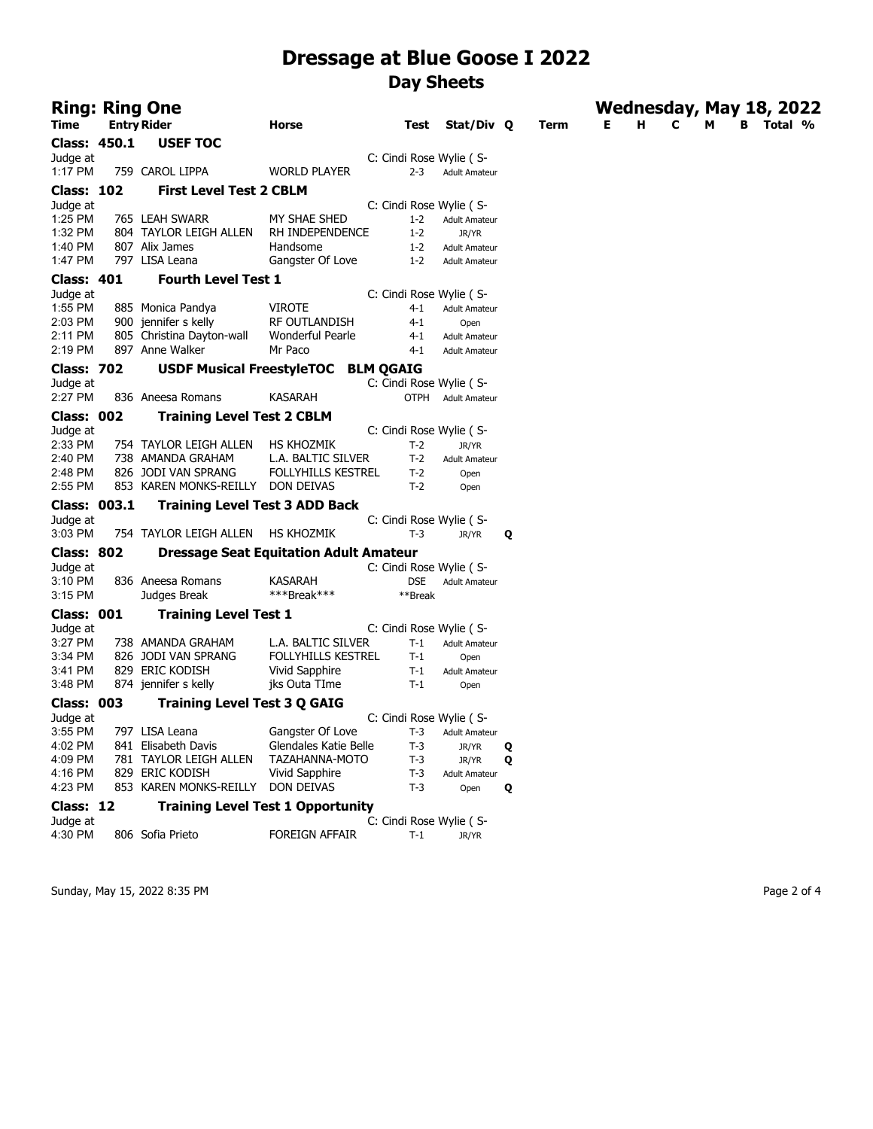|                   | Ring: Ring One                        |                                               |                          |                      |   |      |   |   |   | Wednesday, May 18, 2022 |         |
|-------------------|---------------------------------------|-----------------------------------------------|--------------------------|----------------------|---|------|---|---|---|-------------------------|---------|
| Time              | <b>Entry Rider</b>                    | Horse                                         | Test                     | Stat/Div 0           |   | Term | Е | н | c | В<br>м                  | Total % |
| Class: 450.1      | <b>USEF TOC</b>                       |                                               |                          |                      |   |      |   |   |   |                         |         |
| Judge at          |                                       |                                               | C: Cindi Rose Wylie (S-  |                      |   |      |   |   |   |                         |         |
| 1:17 PM           | 759 CAROL LIPPA                       | <b>WORLD PLAYER</b>                           | $2 - 3$                  | <b>Adult Amateur</b> |   |      |   |   |   |                         |         |
| <b>Class: 102</b> | <b>First Level Test 2 CBLM</b>        |                                               |                          |                      |   |      |   |   |   |                         |         |
| Judge at          |                                       |                                               | C: Cindi Rose Wylie (S-  |                      |   |      |   |   |   |                         |         |
| 1:25 PM           | 765 LEAH SWARR                        | MY SHAE SHED                                  | $1 - 2$                  | <b>Adult Amateur</b> |   |      |   |   |   |                         |         |
| 1:32 PM           | 804 TAYLOR LEIGH ALLEN                | RH INDEPENDENCE                               | $1 - 2$                  | JR/YR                |   |      |   |   |   |                         |         |
| 1:40 PM           | 807 Alix James                        | Handsome                                      | $1 - 2$                  | <b>Adult Amateur</b> |   |      |   |   |   |                         |         |
| 1:47 PM           | 797 LISA Leana                        | Gangster Of Love                              | $1 - 2$                  | <b>Adult Amateur</b> |   |      |   |   |   |                         |         |
| <b>Class: 401</b> | <b>Fourth Level Test 1</b>            |                                               |                          |                      |   |      |   |   |   |                         |         |
| Judge at          |                                       |                                               | C: Cindi Rose Wylie (S-  |                      |   |      |   |   |   |                         |         |
| 1:55 PM           | 885 Monica Pandya                     | <b>VIROTE</b>                                 | 4-1                      | <b>Adult Amateur</b> |   |      |   |   |   |                         |         |
| 2:03 PM           | 900 jennifer s kelly                  | RF OUTLANDISH                                 | 4-1                      | Open                 |   |      |   |   |   |                         |         |
| 2:11 PM           | 805 Christina Dayton-wall             | Wonderful Pearle                              | $4 - 1$                  | <b>Adult Amateur</b> |   |      |   |   |   |                         |         |
| 2:19 PM           | 897 Anne Walker                       | Mr Paco                                       | $4 - 1$                  | <b>Adult Amateur</b> |   |      |   |   |   |                         |         |
| <b>Class: 702</b> | <b>USDF Musical FreestyleTOC</b>      |                                               | <b>BLM QGAIG</b>         |                      |   |      |   |   |   |                         |         |
| Judge at          |                                       |                                               | C: Cindi Rose Wylie (S-  |                      |   |      |   |   |   |                         |         |
| 2:27 PM           | 836 Aneesa Romans                     | <b>KASARAH</b>                                | OTPH                     | <b>Adult Amateur</b> |   |      |   |   |   |                         |         |
| Class: 002        | <b>Training Level Test 2 CBLM</b>     |                                               |                          |                      |   |      |   |   |   |                         |         |
| Judge at          |                                       |                                               | C: Cindi Rose Wylie (S-  |                      |   |      |   |   |   |                         |         |
| 2:33 PM           | 754 TAYLOR LEIGH ALLEN                | HS KHOZMIK                                    | $T-2$                    | JR/YR                |   |      |   |   |   |                         |         |
| 2:40 PM           | 738 AMANDA GRAHAM                     | L.A. BALTIC SILVER                            | $T-2$                    | <b>Adult Amateur</b> |   |      |   |   |   |                         |         |
| 2:48 PM           | 826 JODI VAN SPRANG                   | <b>FOLLYHILLS KESTREL</b>                     | $T-2$                    | Open                 |   |      |   |   |   |                         |         |
| 2:55 PM           | 853 KAREN MONKS-REILLY DON DEIVAS     |                                               | T-2                      | Open                 |   |      |   |   |   |                         |         |
| Class: 003.1      | <b>Training Level Test 3 ADD Back</b> |                                               |                          |                      |   |      |   |   |   |                         |         |
| Judge at          |                                       |                                               | C: Cindi Rose Wylie (S-  |                      |   |      |   |   |   |                         |         |
| 3:03 PM           | 754 TAYLOR LEIGH ALLEN                | <b>HS KHOZMIK</b>                             | T-3                      | JR/YR                | Q |      |   |   |   |                         |         |
| <b>Class: 802</b> |                                       | <b>Dressage Seat Equitation Adult Amateur</b> |                          |                      |   |      |   |   |   |                         |         |
| Judge at          |                                       |                                               | C: Cindi Rose Wylie (S-  |                      |   |      |   |   |   |                         |         |
| 3:10 PM           | 836 Aneesa Romans                     | KASARAH                                       | DSE                      | <b>Adult Amateur</b> |   |      |   |   |   |                         |         |
| 3:15 PM           | Judges Break                          | ***Break***                                   | **Break                  |                      |   |      |   |   |   |                         |         |
| Class: 001        | <b>Training Level Test 1</b>          |                                               |                          |                      |   |      |   |   |   |                         |         |
| Judge at          |                                       |                                               | C: Cindi Rose Wylie (S-  |                      |   |      |   |   |   |                         |         |
| 3:27 PM           | 738 AMANDA GRAHAM                     | L.A. BALTIC SILVER                            | $T-1$                    | <b>Adult Amateur</b> |   |      |   |   |   |                         |         |
| 3:34 PM           | 826 JODI VAN SPRANG                   | <b>FOLLYHILLS KESTREL</b>                     | $T-1$                    | Open                 |   |      |   |   |   |                         |         |
| 3:41 PM           | 829 ERIC KODISH                       | Vivid Sapphire                                | $T-1$                    | <b>Adult Amateur</b> |   |      |   |   |   |                         |         |
| 3:48 PM           | 874 jennifer s kelly                  | jks Outa TIme                                 | $T-1$                    | Open                 |   |      |   |   |   |                         |         |
| <b>Class: 003</b> | <b>Training Level Test 3 Q GAIG</b>   |                                               |                          |                      |   |      |   |   |   |                         |         |
| Judge at          |                                       |                                               | C: Cindi Rose Wylie ( S- |                      |   |      |   |   |   |                         |         |
| 3:55 PM           | 797 LISA Leana                        | Gangster Of Love                              | $T-3$                    | <b>Adult Amateur</b> |   |      |   |   |   |                         |         |
| 4:02 PM           | 841 Elisabeth Davis                   | Glendales Katie Belle                         | T-3                      | JR/YR                | Q |      |   |   |   |                         |         |
| 4:09 PM           | 781 TAYLOR LEIGH ALLEN                | TAZAHANNA-MOTO                                | $T-3$                    | JR/YR                | Q |      |   |   |   |                         |         |
| 4:16 PM           | 829 ERIC KODISH                       | Vivid Sapphire                                | $T-3$                    | <b>Adult Amateur</b> |   |      |   |   |   |                         |         |
| 4:23 PM           | 853 KAREN MONKS-REILLY                | DON DEIVAS                                    | $T-3$                    | Open                 | Q |      |   |   |   |                         |         |
| Class: 12         |                                       | <b>Training Level Test 1 Opportunity</b>      |                          |                      |   |      |   |   |   |                         |         |
| Judge at          |                                       |                                               | C: Cindi Rose Wylie (S-  |                      |   |      |   |   |   |                         |         |
| 4:30 PM           | 806 Sofia Prieto                      | <b>FOREIGN AFFAIR</b>                         | T-1                      | JR/YR                |   |      |   |   |   |                         |         |

Sunday, May 15, 2022 8:35 PM Page 2 of 4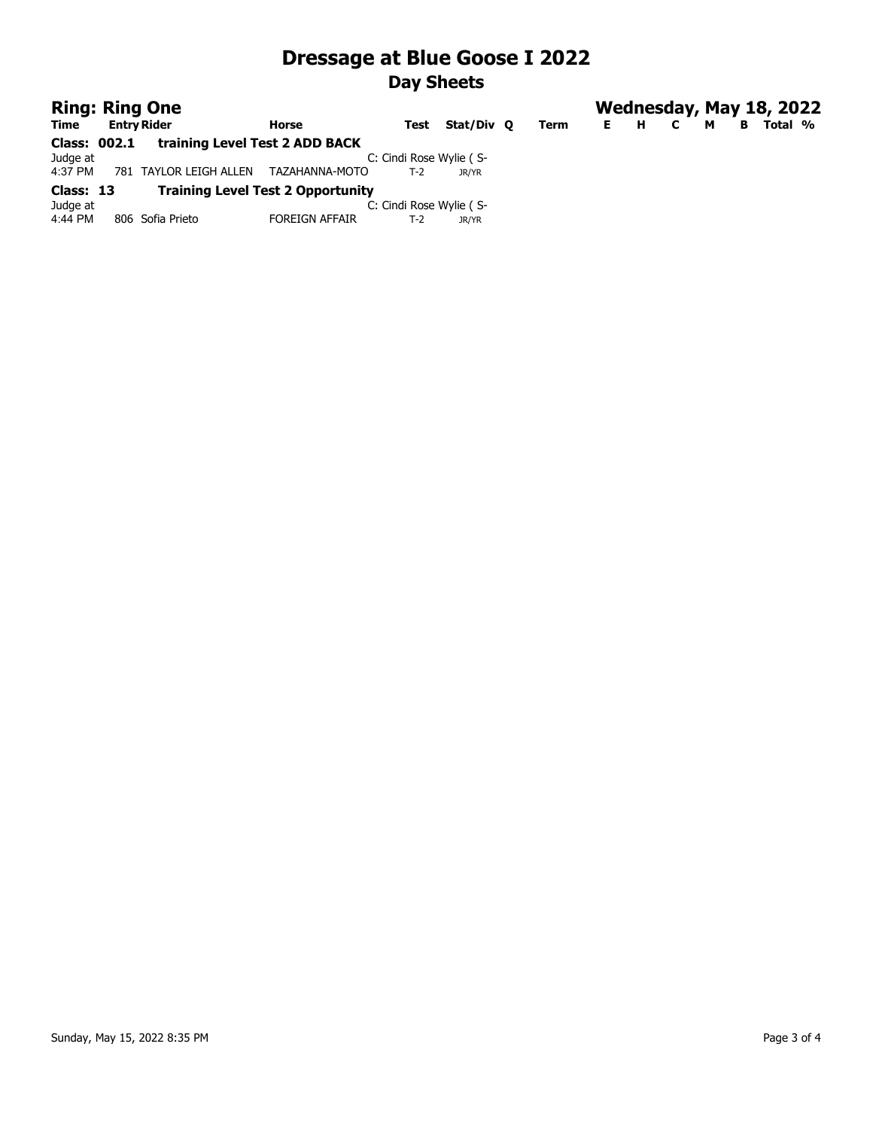| <b>Ring: Ring One</b> |                                |                                          |                         |            |      |    |   | Wednesday, May 18, 2022 |   |   |         |  |
|-----------------------|--------------------------------|------------------------------------------|-------------------------|------------|------|----|---|-------------------------|---|---|---------|--|
| Time                  | <b>Entry Rider</b>             | Horse                                    | Test                    | Stat/Div 0 | Term | E. | н | C                       | м | в | Total % |  |
| Class: 002.1          | training Level Test 2 ADD BACK |                                          |                         |            |      |    |   |                         |   |   |         |  |
| Judge at              |                                |                                          | C: Cindi Rose Wylie (S- |            |      |    |   |                         |   |   |         |  |
| 4:37 PM               | 781 TAYLOR LEIGH ALLEN         | TAZAHANNA-MOTO                           | T-2                     | JR/YR      |      |    |   |                         |   |   |         |  |
| Class: 13             |                                | <b>Training Level Test 2 Opportunity</b> |                         |            |      |    |   |                         |   |   |         |  |
| Judge at              |                                |                                          | C: Cindi Rose Wylie (S- |            |      |    |   |                         |   |   |         |  |
| 4:44 PM               | 806 Sofia Prieto               | <b>FOREIGN AFFAIR</b>                    | $T-2$                   | JR/YR      |      |    |   |                         |   |   |         |  |